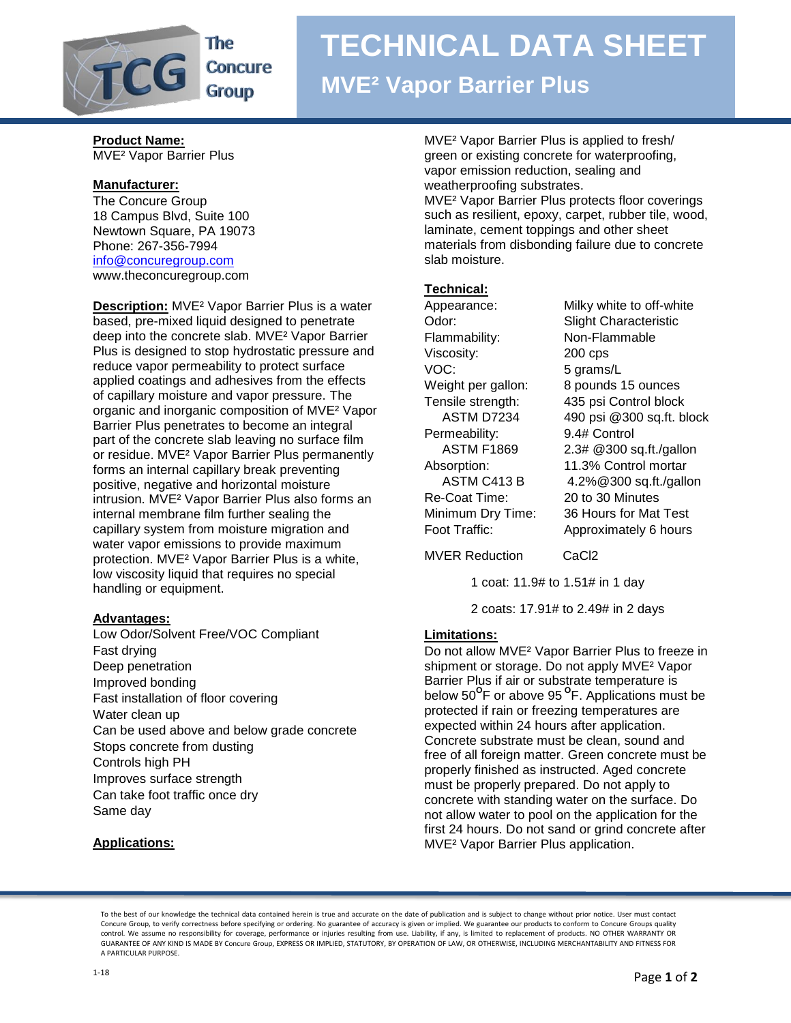

The **Concure Group** 

## **TECHNICAL DATA SHEET**

### **MVE² Vapor Barrier Plus**

**Product Name:** MVE² Vapor Barrier Plus

#### **Manufacturer:**

The Concure Group 18 Campus Blvd, Suite 100 Newtown Square, PA 19073 Phone: 267-356-7994 [info@concuregroup.com](mailto:info@concuregroup.com) www.theconcuregroup.com

**Description:** MVE² Vapor Barrier Plus is a water based, pre-mixed liquid designed to penetrate deep into the concrete slab. MVE² Vapor Barrier Plus is designed to stop hydrostatic pressure and reduce vapor permeability to protect surface applied coatings and adhesives from the effects of capillary moisture and vapor pressure. The organic and inorganic composition of MVE² Vapor Barrier Plus penetrates to become an integral part of the concrete slab leaving no surface film or residue. MVE² Vapor Barrier Plus permanently forms an internal capillary break preventing positive, negative and horizontal moisture intrusion. MVE² Vapor Barrier Plus also forms an internal membrane film further sealing the capillary system from moisture migration and water vapor emissions to provide maximum protection. MVE² Vapor Barrier Plus is a white, low viscosity liquid that requires no special handling or equipment.

#### **Advantages:**

Low Odor/Solvent Free/VOC Compliant Fast drying Deep penetration Improved bonding Fast installation of floor covering Water clean up Can be used above and below grade concrete Stops concrete from dusting Controls high PH Improves surface strength Can take foot traffic once dry Same day

#### **Applications:**

MVE² Vapor Barrier Plus is applied to fresh/ green or existing concrete for waterproofing, vapor emission reduction, sealing and weatherproofing substrates.

MVE² Vapor Barrier Plus protects floor coverings such as resilient, epoxy, carpet, rubber tile, wood, laminate, cement toppings and other sheet materials from disbonding failure due to concrete slab moisture.

#### **Technical:**

Flammability: Non-Flammable Viscosity: 200 cps VOC: 5 grams/L Permeability: 9.4# Control Re-Coat Time: 20 to 30 Minutes

Appearance: Milky white to off-white Odor: Slight Characteristic Weight per gallon: 8 pounds 15 ounces Tensile strength: 435 psi Control block ASTM D7234 490 psi @300 sq.ft. block ASTM F1869 2.3# @300 sq.ft./gallon Absorption: 11.3% Control mortar ASTM C413 B 4.2%@300 sq.ft./gallon Minimum Dry Time: 36 Hours for Mat Test Foot Traffic: Approximately 6 hours

MVER Reduction CaCl2

1 coat: 11.9# to 1.51# in 1 day

2 coats: 17.91# to 2.49# in 2 days

#### **Limitations:**

Do not allow MVE² Vapor Barrier Plus to freeze in shipment or storage. Do not apply MVE² Vapor Barrier Plus if air or substrate temperature is below 50**<sup>O</sup>** F or above 95 **<sup>O</sup>** F. Applications must be protected if rain or freezing temperatures are expected within 24 hours after application. Concrete substrate must be clean, sound and free of all foreign matter. Green concrete must be properly finished as instructed. Aged concrete must be properly prepared. Do not apply to concrete with standing water on the surface. Do not allow water to pool on the application for the first 24 hours. Do not sand or grind concrete after MVE² Vapor Barrier Plus application.

To the best of our knowledge the technical data contained herein is true and accurate on the date of publication and is subject to change without prior notice. User must contact Concure Group, to verify correctness before specifying or ordering. No guarantee of accuracy is given or implied. We guarantee our products to conform to Concure Groups quality control. We assume no responsibility for coverage, performance or injuries resulting from use. Liability, if any, is limited to replacement of products. NO OTHER WARRANTY OR GUARANTEE OF ANY KIND IS MADE BY Concure Group, EXPRESS OR IMPLIED, STATUTORY, BY OPERATION OF LAW, OR OTHERWISE, INCLUDING MERCHANTABILITY AND FITNESS FOR A PARTICULAR PURPOSE.